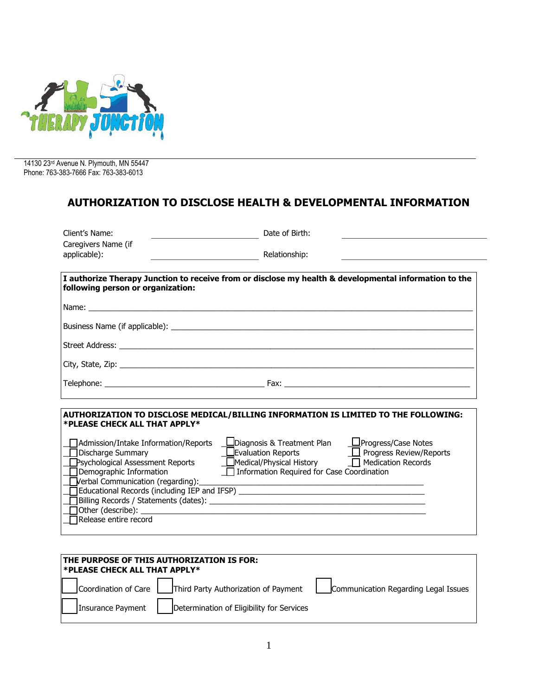

14130 23rd Avenue N. Plymouth, MN 55447 Phone: 763-383-7666 Fax: 763-383-6013

## **AUTHORIZATION TO DISCLOSE HEALTH & DEVELOPMENTAL INFORMATION**

| Client's Name:                                                                                                                                                                                                                                | Date of Birth:                                                                                                                                                                                                                                                                                                                                                                                    |
|-----------------------------------------------------------------------------------------------------------------------------------------------------------------------------------------------------------------------------------------------|---------------------------------------------------------------------------------------------------------------------------------------------------------------------------------------------------------------------------------------------------------------------------------------------------------------------------------------------------------------------------------------------------|
| Caregivers Name (if<br>applicable):                                                                                                                                                                                                           | Relationship:                                                                                                                                                                                                                                                                                                                                                                                     |
| following person or organization:                                                                                                                                                                                                             | I authorize Therapy Junction to receive from or disclose my health & developmental information to the                                                                                                                                                                                                                                                                                             |
|                                                                                                                                                                                                                                               |                                                                                                                                                                                                                                                                                                                                                                                                   |
|                                                                                                                                                                                                                                               |                                                                                                                                                                                                                                                                                                                                                                                                   |
|                                                                                                                                                                                                                                               |                                                                                                                                                                                                                                                                                                                                                                                                   |
|                                                                                                                                                                                                                                               |                                                                                                                                                                                                                                                                                                                                                                                                   |
|                                                                                                                                                                                                                                               |                                                                                                                                                                                                                                                                                                                                                                                                   |
| *PLEASE CHECK ALL THAT APPLY*<br>Admission/Intake Information/Reports<br>Discharge Summary<br>Psychological Assessment Reports<br>Demographic Information<br>$J$ verbal Communication (regarding): $\sqrt{J}$<br>$\Box$ Release entire record | AUTHORIZATION TO DISCLOSE MEDICAL/BILLING INFORMATION IS LIMITED TO THE FOLLOWING:<br>LDiagnosis & Treatment Plan LProgress/Case Notes<br><b>U</b> Evaluation Reports <b>II</b> Progress Review/Reports<br>Medical/Physical History Medication Records<br><b>□ Information Required for Case Coordination</b><br>Educational Records (including IEP and IFSP) ___________________________________ |

| <b>THE PURPOSE OF THIS AUTHORIZATION IS FOR:</b><br><b>*PLEASE CHECK ALL THAT APPLY*</b> |                   |                                                             |                                      |
|------------------------------------------------------------------------------------------|-------------------|-------------------------------------------------------------|--------------------------------------|
|                                                                                          |                   | Coordination of Care   Third Party Authorization of Payment | Communication Regarding Legal Issues |
|                                                                                          | Insurance Payment | Determination of Eligibility for Services                   |                                      |